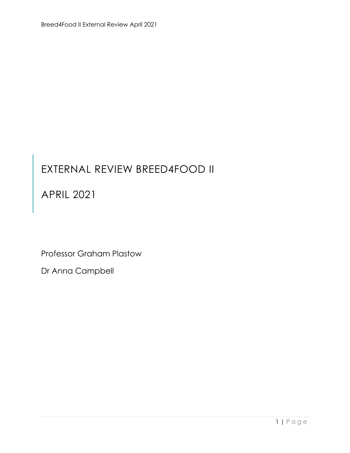## EXTERNAL REVIEW BREED4FOOD II

### APRIL 2021

Professor Graham Plastow

Dr Anna Campbell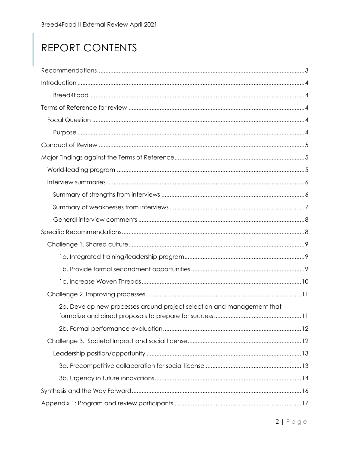# REPORT CONTENTS

| 2a. Develop new processes around project selection and management that |
|------------------------------------------------------------------------|
|                                                                        |
|                                                                        |
|                                                                        |
|                                                                        |
|                                                                        |
|                                                                        |
|                                                                        |
|                                                                        |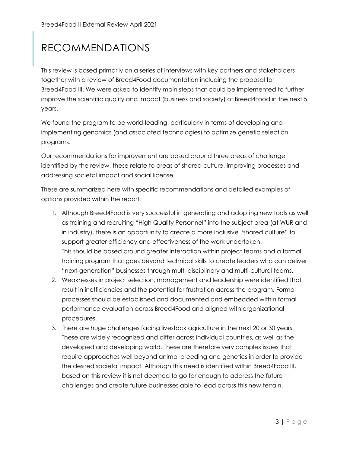## <span id="page-2-0"></span>RECOMMENDATIONS

This review is based primarily on a series of interviews with key partners and stakeholders together with a review of Breed4Food documentation including the proposal for Breed4Food III. We were asked to identify main steps that could be implemented to further improve the scientific quality and impact (business and society) of Breed4Food in the next 5 years.

We found the program to be world-leading, particularly in terms of developing and implementing genomics (and associated technologies) to optimize genetic selection programs.

Our recommendations for improvement are based around three areas of challenge identified by the review, these relate to areas of shared culture, improving processes and addressing societal impact and social license.

These are summarized here with specific recommendations and detailed examples of options provided within the report.

- 1. Although Breed4Food is very successful in generating and adopting new tools as well as training and recruiting "High Quality Personnel" into the subject area (at WUR and in industry), there is an opportunity to create a more inclusive "shared culture" to support greater efficiency and effectiveness of the work undertaken. This should be based around greater interaction within project teams and a formal training program that goes beyond technical skills to create leaders who can deliver "next-generation" businesses through multi-disciplinary and multi-cultural teams.
- 2. Weaknesses in project selection, management and leadership were identified that result in inefficiencies and the potential for frustration across the program. Formal processes should be established and documented and embedded within formal performance evaluation across Breed4Food and aligned with organizational procedures.
- 3. There are huge challenges facing livestock agriculture in the next 20 or 30 years. These are widely recognized and differ across individual countries, as well as the developed and developing world. These are therefore very complex issues that require approaches well beyond animal breeding and genetics in order to provide the desired societal impact. Although this need is identified within Breed4Food III, based on this review it is not deemed to go far enough to address the future challenges and create future businesses able to lead across this new terrain.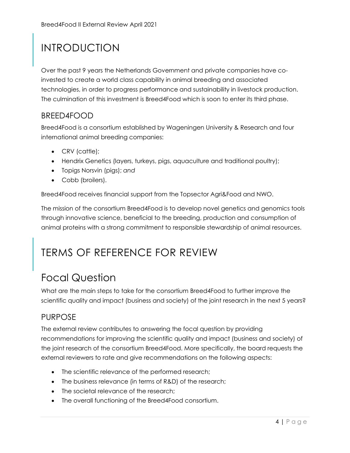## <span id="page-3-0"></span>INTRODUCTION

Over the past 9 years the Netherlands Government and private companies have coinvested to create a world class capability in animal breeding and associated technologies, in order to progress performance and sustainability in livestock production. The culmination of this investment is Breed4Food which is soon to enter its third phase.

#### <span id="page-3-1"></span>BREED4FOOD

Breed4Food is a consortium established by Wageningen University & Research and four international animal breeding companies:

- CRV (cattle);
- Hendrix Genetics (layers, turkeys, pigs, aquaculture and traditional poultry);
- Topigs Norsvin (pigs); *and*
- Cobb (broilers).

Breed4Food receives financial support from the Topsector Agri&Food and NWO.

The mission of the consortium Breed4Food is to develop novel genetics and genomics tools through innovative science, beneficial to the breeding, production and consumption of animal proteins with a strong commitment to responsible stewardship of animal resources.

### <span id="page-3-2"></span>TERMS OF REFERENCE FOR REVIEW

### <span id="page-3-3"></span>Focal Question

What are the main steps to take for the consortium Breed4Food to further improve the scientific quality and impact (business and society) of the joint research in the next 5 years?

#### <span id="page-3-4"></span>PURPOSE

The external review contributes to answering the focal question by providing recommendations for improving the scientific quality and impact (business and society) of the joint research of the consortium Breed4Food. More specifically, the board requests the external reviewers to rate and give recommendations on the following aspects:

- The scientific relevance of the performed research;
- The business relevance (in terms of R&D) of the research;
- The societal relevance of the research;
- The overall functioning of the Breed4Food consortium.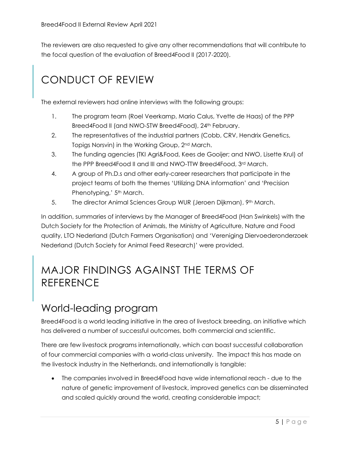The reviewers are also requested to give any other recommendations that will contribute to the focal question of the evaluation of Breed4Food II (2017-2020).

## <span id="page-4-0"></span>CONDUCT OF REVIEW

The external reviewers had online interviews with the following groups:

- 1. The program team (Roel Veerkamp, Mario Calus, Yvette de Haas) of the PPP Breed4Food II (and NWO-STW Breed4Food), 24<sup>th</sup> February.
- 2. The representatives of the industrial partners (Cobb, CRV, Hendrix Genetics, Topigs Norsvin) in the Working Group, 2nd March.
- 3. The funding agencies (TKI Agri&Food, Kees de Gooijer; and NWO, Lisette Krul) of the PPP Breed4Food II and III and NWO-TTW Breed4Food, 3rd March.
- 4. A group of Ph.D.s and other early-career researchers that participate in the project teams of both the themes 'Utilizing DNA information' and 'Precision Phenotyping,' 5<sup>th</sup> March.
- 5. The director Animal Sciences Group WUR (Jeroen Dijkman), 9th March.

In addition, summaries of interviews by the Manager of Breed4Food (Han Swinkels) with the Dutch Society for the Protection of Animals, the Ministry of Agriculture, Nature and Food quality, LTO Nederland (Dutch Farmers Organisation) and 'Vereniging Diervoederonderzoek Nederland (Dutch Society for Animal Feed Research)' were provided.

### <span id="page-4-1"></span>MAJOR FINDINGS AGAINST THE TERMS OF REFERENCE

### <span id="page-4-2"></span>World-leading program

Breed4Food is a world leading initiative in the area of livestock breeding, an initiative which has delivered a number of successful outcomes, both commercial and scientific.

There are few livestock programs internationally, which can boast successful collaboration of four commercial companies with a world-class university. The impact this has made on the livestock industry in the Netherlands, and internationally is tangible:

 The companies involved in Breed4Food have wide international reach - due to the nature of genetic improvement of livestock, improved genetics can be disseminated and scaled quickly around the world, creating considerable impact;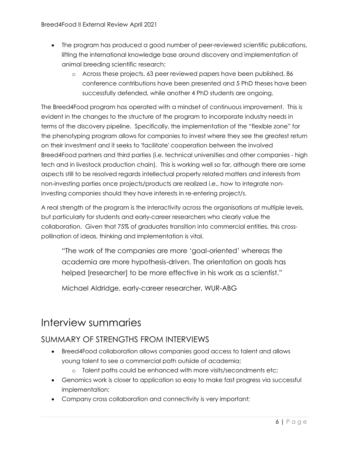- The program has produced a good number of peer-reviewed scientific publications, lifting the international knowledge base around discovery and implementation of animal breeding scientific research;
	- o Across these projects, 63 peer reviewed papers have been published, 86 conference contributions have been presented and 5 PhD theses have been successfully defended, while another 4 PhD students are ongoing.

The Breed4Food program has operated with a mindset of continuous improvement. This is evident in the changes to the structure of the program to incorporate industry needs in terms of the discovery pipeline. Specifically, the implementation of the "flexible zone" for the phenotyping program allows for companies to invest where they see the greatest return on their investment and it seeks to 'facilitate' cooperation between the involved Breed4Food partners and third parties (i.e. technical universities and other companies - high tech and in livestock production chain). This is working well so far, although there are some aspects still to be resolved regards intellectual property related matters and interests from non-investing parties once projects/products are realized i.e., how to integrate noninvesting companies should they have interests in re-entering project/s.

A real strength of the program is the interactivity across the organisations at multiple levels, but particularly for students and early-career researchers who clearly value the collaboration. Given that 75% of graduates transition into commercial entities, this crosspollination of ideas, thinking and implementation is vital.

"The work of the companies are more 'goal-oriented' whereas the academia are more hypothesis-driven. The orientation on goals has helped [researcher] to be more effective in his work as a scientist."

Michael Aldridge, early-career researcher, WUR-ABG

### <span id="page-5-0"></span>Interview summaries

#### <span id="page-5-1"></span>SUMMARY OF STRENGTHS FROM INTERVIEWS

- Breed4Food collaboration allows companies good access to talent and allows young talent to see a commercial path outside of academia;
	- o Talent paths could be enhanced with more visits/secondments etc;
- Genomics work is closer to application so easy to make fast progress via successful implementation;
- Company cross collaboration and connectivity is very important;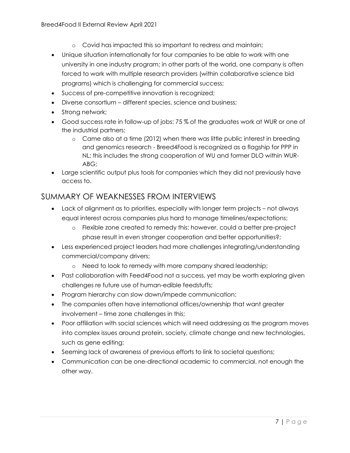- o Covid has impacted this so important to redress and maintain;
- Unique situation internationally for four companies to be able to work with one university in one industry program; in other parts of the world, one company is often forced to work with multiple research providers (within collaborative science bid programs) which is challenging for commercial success;
- Success of pre-competitive innovation is recognized;
- Diverse consortium different species, science and business;
- Strong network;
- Good success rate in follow-up of jobs: 75 % of the graduates work at WUR or one of the industrial partners;
	- o Came also at a time (2012) when there was little public interest in breeding and genomics research - Breed4Food is recognized as a flagship for PPP in NL; this includes the strong cooperation of WU and former DLO within WUR-ABG;
- Large scientific output plus tools for companies which they did not previously have access to.

#### <span id="page-6-0"></span>SUMMARY OF WEAKNESSES FROM INTERVIEWS

- Lack of alignment as to priorities, especially with longer term projects not always equal interest across companies plus hard to manage timelines/expectations;
	- o Flexible zone created to remedy this: however, could a better pre-project phase result in even stronger cooperation and better opportunities?;
- Less experienced project leaders had more challenges integrating/understanding commercial/company drivers;
	- o Need to look to remedy with more company shared leadership;
- Past collaboration with Feed4Food not a success, yet may be worth exploring given challenges re future use of human-edible feedstuffs;
- Program hierarchy can slow down/impede communication;
- The companies often have international offices/ownership that want greater involvement – time zone challenges in this;
- Poor affiliation with social sciences which will need addressing as the program moves into complex issues around protein, society, climate change and new technologies, such as gene editing;
- Seeming lack of awareness of previous efforts to link to societal questions;
- Communication can be one-directional academic to commercial, not enough the other way.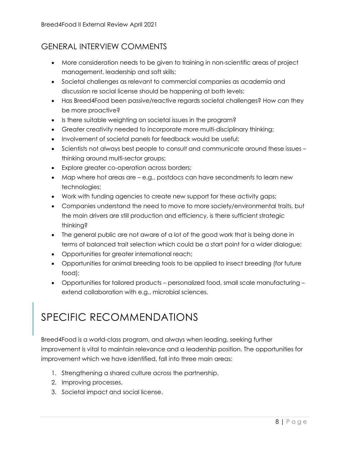### <span id="page-7-0"></span>GENERAL INTERVIEW COMMENTS

- More consideration needs to be given to training in non-scientific areas of project management, leadership and soft skills;
- Societal challenges as relevant to commercial companies as academia and discussion re social license should be happening at both levels;
- Has Breed4Food been passive/reactive regards societal challenges? How can they be more proactive?
- Is there suitable weighting on societal issues in the program?
- Greater creativity needed to incorporate more multi-disciplinary thinking;
- Involvement of societal panels for feedback would be useful;
- Scientists not always best people to consult and communicate around these issues thinking around multi-sector groups;
- Explore greater co-operation across borders;
- Map where hot areas are e.g., postdocs can have secondments to learn new technologies;
- Work with funding agencies to create new support for these activity gaps;
- Companies understand the need to move to more society/environmental traits, but the main drivers are still production and efficiency, is there sufficient strategic thinking?
- The general public are not aware of a lot of the good work that is being done in terms of balanced trait selection which could be a start point for a wider dialogue;
- Opportunities for greater international reach;
- Opportunities for animal breeding tools to be applied to insect breeding (for future food);
- Opportunities for tailored products personalized food, small scale manufacturing extend collaboration with e.g., microbial sciences.

### <span id="page-7-1"></span>SPECIFIC RECOMMENDATIONS

Breed4Food is a world-class program, and always when leading, seeking further improvement is vital to maintain relevance and a leadership position. The opportunities for improvement which we have identified, fall into three main areas:

- 1. Strengthening a shared culture across the partnership.
- 2. Improving processes.
- 3. Societal impact and social license.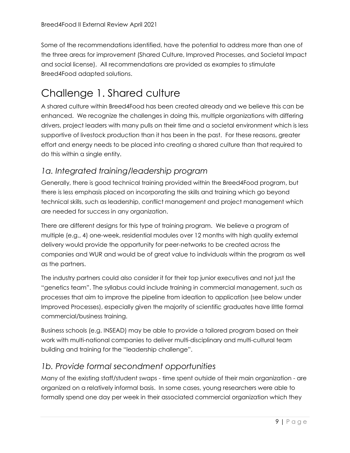Some of the recommendations identified, have the potential to address more than one of the three areas for improvement (Shared Culture, Improved Processes, and Societal Impact and social license). All recommendations are provided as examples to stimulate Breed4Food adapted solutions.

### <span id="page-8-0"></span>Challenge 1. Shared culture

A shared culture within Breed4Food has been created already and we believe this can be enhanced. We recognize the challenges in doing this, multiple organizations with differing drivers, project leaders with many pulls on their time and a societal environment which is less supportive of livestock production than it has been in the past. For these reasons, greater effort and energy needs to be placed into creating a shared culture than that required to do this within a single entity.

#### <span id="page-8-1"></span>*1a. Integrated training/leadership program*

Generally, there is good technical training provided within the Breed4Food program, but there is less emphasis placed on incorporating the skills and training which go beyond technical skills, such as leadership, conflict management and project management which are needed for success in any organization.

There are different designs for this type of training program. We believe a program of multiple (e.g., 4) one-week, residential modules over 12 months with high quality external delivery would provide the opportunity for peer-networks to be created across the companies and WUR and would be of great value to individuals within the program as well as the partners.

The industry partners could also consider it for their top junior executives and not just the "genetics team". The syllabus could include training in commercial management, such as processes that aim to improve the pipeline from ideation to application (see below under Improved Processes), especially given the majority of scientific graduates have little formal commercial/business training.

Business schools (e.g. INSEAD) may be able to provide a tailored program based on their work with multi-national companies to deliver multi-disciplinary and multi-cultural team building and training for the "leadership challenge".

#### <span id="page-8-2"></span>*1b. Provide formal secondment opportunities*

Many of the existing staff/student swaps - time spent outside of their main organization - are organized on a relatively informal basis. In some cases, young researchers were able to formally spend one day per week in their associated commercial organization which they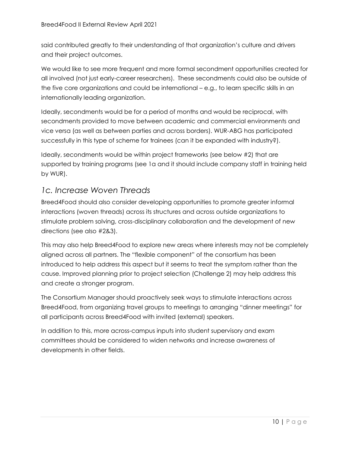said contributed greatly to their understanding of that organization's culture and drivers and their project outcomes.

We would like to see more frequent and more formal secondment opportunities created for all involved (not just early-career researchers). These secondments could also be outside of the five core organizations and could be international – e.g., to learn specific skills in an internationally leading organization.

Ideally, secondments would be for a period of months and would be reciprocal, with secondments provided to move between academic and commercial environments and vice versa (as well as between parties and across borders). WUR-ABG has participated successfully in this type of scheme for trainees (can it be expanded with industry?).

Ideally, secondments would be within project frameworks (see below #2) that are supported by training programs (see 1a and it should include company staff in training held by WUR).

#### <span id="page-9-0"></span>*1c. Increase Woven Threads*

Breed4Food should also consider developing opportunities to promote greater informal interactions (woven threads) across its structures and across outside organizations to stimulate problem solving, cross-disciplinary collaboration and the development of new directions (see also #2&3).

This may also help Breed4Food to explore new areas where interests may not be completely aligned across all partners. The "flexible component" of the consortium has been introduced to help address this aspect but it seems to treat the symptom rather than the cause. Improved planning prior to project selection (Challenge 2) may help address this and create a stronger program.

The Consortium Manager should proactively seek ways to stimulate interactions across Breed4Food, from organizing travel groups to meetings to arranging "dinner meetings" for all participants across Breed4Food with invited (external) speakers.

In addition to this, more across-campus inputs into student supervisory and exam committees should be considered to widen networks and increase awareness of developments in other fields.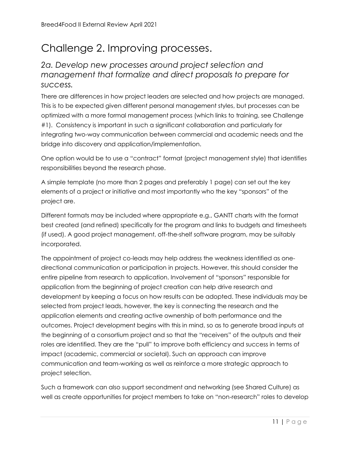## <span id="page-10-0"></span>Challenge 2. Improving processes.

#### <span id="page-10-1"></span>*2a. Develop new processes around project selection and management that formalize and direct proposals to prepare for success.*

There are differences in how project leaders are selected and how projects are managed. This is to be expected given different personal management styles, but processes can be optimized with a more formal management process (which links to training, see Challenge #1). Consistency is important in such a significant collaboration and particularly for integrating two-way communication between commercial and academic needs and the bridge into discovery and application/implementation.

One option would be to use a "contract" format (project management style) that identifies responsibilities beyond the research phase.

A simple template (no more than 2 pages and preferably 1 page) can set out the key elements of a project or initiative and most importantly who the key "sponsors" of the project are.

Different formats may be included where appropriate e.g., GANTT charts with the format best created (and refined) specifically for the program and links to budgets and timesheets (if used). A good project management, off-the-shelf software program, may be suitably incorporated.

The appointment of project co-leads may help address the weakness identified as onedirectional communication or participation in projects. However, this should consider the entire pipeline from research to application. Involvement of "sponsors" responsible for application from the beginning of project creation can help drive research and development by keeping a focus on how results can be adopted. These individuals may be selected from project leads, however, the key is connecting the research and the application elements and creating active ownership of both performance and the outcomes. Project development begins with this in mind, so as to generate broad inputs at the beginning of a consortium project and so that the "receivers" of the outputs and their roles are identified. They are the "pull" to improve both efficiency and success in terms of impact (academic, commercial or societal). Such an approach can improve communication and team-working as well as reinforce a more strategic approach to project selection.

Such a framework can also support secondment and networking (see Shared Culture) as well as create opportunities for project members to take on "non-research" roles to develop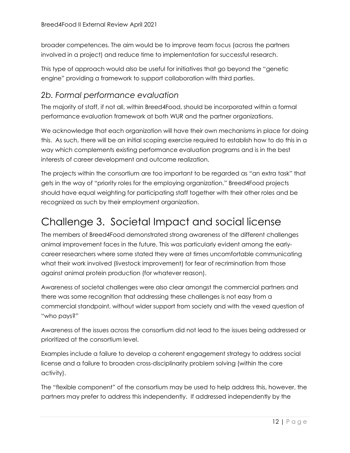broader competences. The aim would be to improve team focus (across the partners involved in a project) and reduce time to implementation for successful research.

This type of approach would also be useful for initiatives that go beyond the "genetic engine" providing a framework to support collaboration with third parties.

#### <span id="page-11-0"></span>*2b. Formal performance evaluation*

The majority of staff, if not all, within Breed4Food, should be incorporated within a formal performance evaluation framework at both WUR and the partner organizations.

We acknowledge that each organization will have their own mechanisms in place for doing this. As such, there will be an initial scoping exercise required to establish how to do this in a way which complements existing performance evaluation programs and is in the best interests of career development and outcome realization.

The projects within the consortium are too important to be regarded as "an extra task" that gets in the way of "priority roles for the employing organization." Breed4Food projects should have equal weighting for participating staff together with their other roles and be recognized as such by their employment organization.

### <span id="page-11-1"></span>Challenge 3. Societal Impact and social license

The members of Breed4Food demonstrated strong awareness of the different challenges animal improvement faces in the future. This was particularly evident among the earlycareer researchers where some stated they were at times uncomfortable communicating what their work involved (livestock improvement) for fear of recrimination from those against animal protein production (for whatever reason).

Awareness of societal challenges were also clear amongst the commercial partners and there was some recognition that addressing these challenges is not easy from a commercial standpoint, without wider support from society and with the vexed question of "who pays?"

Awareness of the issues across the consortium did not lead to the issues being addressed or prioritized at the consortium level.

Examples include a failure to develop a coherent engagement strategy to address social license and a failure to broaden cross-disciplinarity problem solving (within the core activity).

The "flexible component" of the consortium may be used to help address this, however, the partners may prefer to address this independently. If addressed independently by the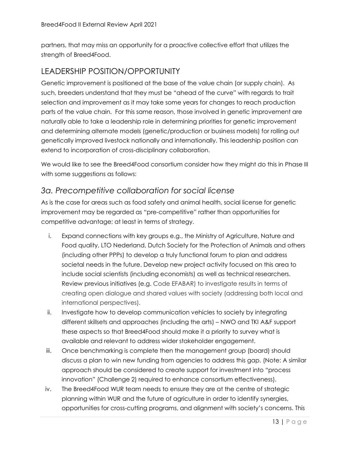partners, that may miss an opportunity for a proactive collective effort that utilizes the strength of Breed4Food.

#### <span id="page-12-0"></span>LEADERSHIP POSITION/OPPORTUNITY

Genetic improvement is positioned at the base of the value chain (or supply chain). As such, breeders understand that they must be "ahead of the curve" with regards to trait selection and improvement as it may take some years for changes to reach production parts of the value chain. For this same reason, those involved in genetic improvement are naturally able to take a leadership role in determining priorities for genetic improvement and determining alternate models (genetic/production or business models) for rolling out genetically improved livestock nationally and internationally. This leadership position can extend to incorporation of cross-disciplinary collaboration.

We would like to see the Breed4Food consortium consider how they might do this in Phase III with some suggestions as follows:

#### <span id="page-12-1"></span>*3a. Precompetitive collaboration for social license*

As is the case for areas such as food safety and animal health, social license for genetic improvement may be regarded as "pre-competitive" rather than opportunities for competitive advantage; at least in terms of strategy.

- i. Expand connections with key groups e.g., the Ministry of Agriculture, Nature and Food quality, LTO Nederland, Dutch Society for the Protection of Animals and others (including other PPPs) to develop a truly functional forum to plan and address societal needs in the future. Develop new project activity focused on this area to include social scientists (including economists) as well as technical researchers. Review previous initiatives (e.g. Code EFABAR) to investigate results in terms of creating open dialogue and shared values with society (addressing both local and international perspectives).
- ii. Investigate how to develop communication vehicles to society by integrating different skillsets and approaches (including the arts) – NWO and TKI A&F support these aspects so that Breed4Food should make it a priority to survey what is available and relevant to address wider stakeholder engagement.
- iii. Once benchmarking is complete then the management group (board) should discuss a plan to win new funding from agencies to address this gap. (Note: A similar approach should be considered to create support for investment into "process innovation" (Challenge 2) required to enhance consortium effectiveness).
- iv. The Breed4Food WUR team needs to ensure they are at the centre of strategic planning within WUR and the future of agriculture in order to identify synergies, opportunities for cross-cutting programs, and alignment with society's concerns. This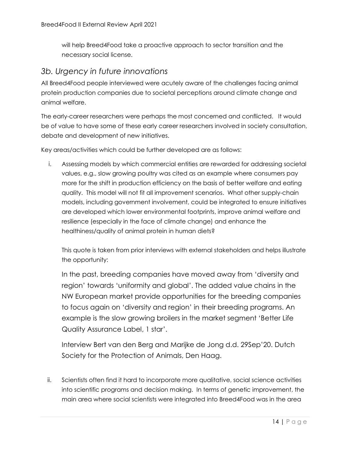will help Breed4Food take a proactive approach to sector transition and the necessary social license.

#### <span id="page-13-0"></span>*3b. Urgency in future innovations*

All Breed4Food people interviewed were acutely aware of the challenges facing animal protein production companies due to societal perceptions around climate change and animal welfare.

The early-career researchers were perhaps the most concerned and conflicted. It would be of value to have some of these early career researchers involved in society consultation, debate and development of new initiatives.

Key areas/activities which could be further developed are as follows:

i. Assessing models by which commercial entities are rewarded for addressing societal values, e.g., slow growing poultry was cited as an example where consumers pay more for the shift in production efficiency on the basis of better welfare and eating quality. This model will not fit all improvement scenarios. What other supply-chain models, including government involvement, could be integrated to ensure initiatives are developed which lower environmental footprints, improve animal welfare and resilience (especially in the face of climate change) and enhance the healthiness/quality of animal protein in human diets?

This quote is taken from prior interviews with external stakeholders and helps illustrate the opportunity:

In the past, breeding companies have moved away from 'diversity and region' towards 'uniformity and global'. The added value chains in the NW European market provide opportunities for the breeding companies to focus again on 'diversity and region' in their breeding programs. An example is the slow growing broilers in the market segment 'Better Life Quality Assurance Label, 1 star'.

Interview Bert van den Berg and Marijke de Jong d.d. 29Sep'20. Dutch Society for the Protection of Animals, Den Haag.

ii. Scientists often find it hard to incorporate more qualitative, social science activities into scientific programs and decision making. In terms of genetic improvement, the main area where social scientists were integrated into Breed4Food was in the area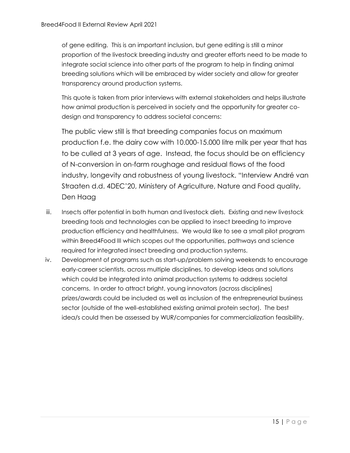of gene editing. This is an important inclusion, but gene editing is still a minor proportion of the livestock breeding industry and greater efforts need to be made to integrate social science into other parts of the program to help in finding animal breeding solutions which will be embraced by wider society and allow for greater transparency around production systems.

This quote is taken from prior interviews with external stakeholders and helps illustrate how animal production is perceived in society and the opportunity for greater codesign and transparency to address societal concerns:

The public view still is that breeding companies focus on maximum production f.e. the dairy cow with 10.000-15.000 litre milk per year that has to be culled at 3 years of age. Instead, the focus should be on efficiency of N-conversion in on-farm roughage and residual flows of the food industry, longevity and robustness of young livestock. "Interview André van Straaten d.d. 4DEC'20, Ministery of Agriculture, Nature and Food quality, Den Haag

- iii. Insects offer potential in both human and livestock diets. Existing and new livestock breeding tools and technologies can be applied to insect breeding to improve production efficiency and healthfulness. We would like to see a small pilot program within Breed4Food III which scopes out the opportunities, pathways and science required for integrated insect breeding and production systems.
- <span id="page-14-0"></span>iv. Development of programs such as start-up/problem solving weekends to encourage early-career scientists, across multiple disciplines, to develop ideas and solutions which could be integrated into animal production systems to address societal concerns. In order to attract bright, young innovators (across disciplines) prizes/awards could be included as well as inclusion of the entrepreneurial business sector (outside of the well-established existing animal protein sector). The best idea/s could then be assessed by WUR/companies for commercialization feasibility.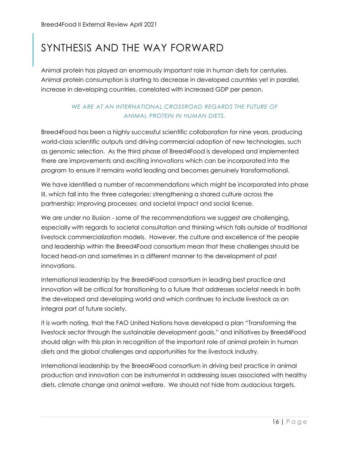### SYNTHESIS AND THE WAY FORWARD

Animal protein has played an enormously important role in human diets for centuries. Animal protein consumption is starting to decrease in developed countries yet in parallel, increase in developing countries, correlated with increased GDP per person.

#### *WE ARE AT AN INTERNATIONAL CROSSROAD REGARDS THE FUTURE OF ANIMAL PROTEIN IN HUMAN DIETS.*

Breed4Food has been a highly successful scientific collaboration for nine years, producing world-class scientific outputs and driving commercial adoption of new technologies, such as genomic selection. As the third phase of Breed4Food is developed and implemented there are improvements and exciting innovations which can be incorporated into the program to ensure it remains world leading and becomes genuinely transformational.

We have identified a number of recommendations which might be incorporated into phase III, which fall into the three categories: strengthening a shared culture across the partnership; improving processes; and societal impact and social license.

We are under no illusion - some of the recommendations we suggest are challenging, especially with regards to societal consultation and thinking which falls outside of traditional livestock commercialization models. However, the culture and excellence of the people and leadership within the Breed4Food consortium mean that these challenges should be faced head-on and sometimes in a different manner to the development of past innovations.

International leadership by the Breed4Food consortium in leading best practice and innovation will be critical for transitioning to a future that addresses societal needs in both the developed and developing world and which continues to include livestock as an integral part of future society.

It is worth noting, that the FAO United Nations have developed a plan "Transforming the livestock sector through the sustainable development goals," and initiatives by Breed4Food should align with this plan in recognition of the important role of animal protein in human diets and the global challenges and opportunities for the livestock industry.

International leadership by the Breed4Food consortium in driving best practice in animal production and innovation can be instrumental in addressing issues associated with healthy diets, climate change and animal welfare. We should not hide from audacious targets.